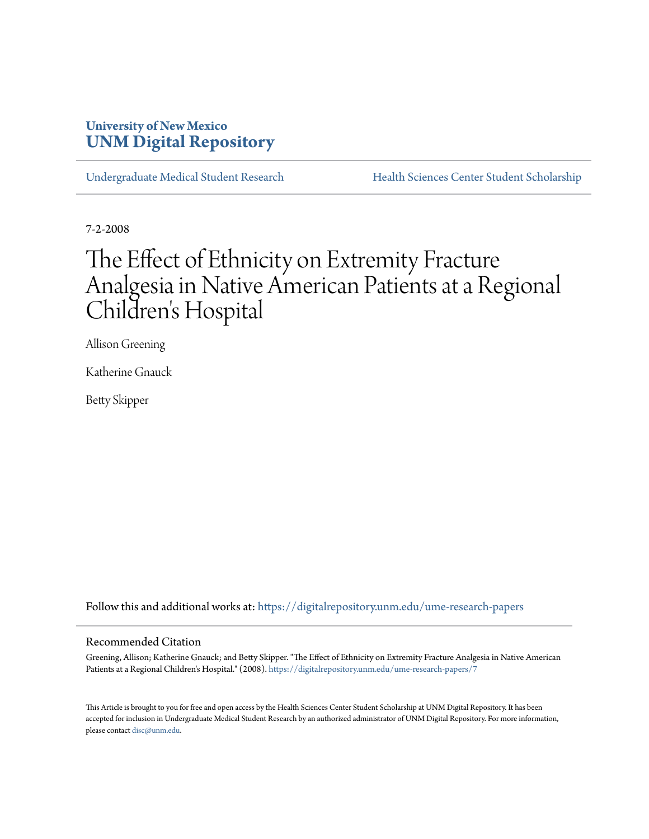# **University of New Mexico [UNM Digital Repository](https://digitalrepository.unm.edu?utm_source=digitalrepository.unm.edu%2Fume-research-papers%2F7&utm_medium=PDF&utm_campaign=PDFCoverPages)**

[Undergraduate Medical Student Research](https://digitalrepository.unm.edu/ume-research-papers?utm_source=digitalrepository.unm.edu%2Fume-research-papers%2F7&utm_medium=PDF&utm_campaign=PDFCoverPages) [Health Sciences Center Student Scholarship](https://digitalrepository.unm.edu/hsc-students?utm_source=digitalrepository.unm.edu%2Fume-research-papers%2F7&utm_medium=PDF&utm_campaign=PDFCoverPages)

7-2-2008

# The Effect of Ethnicity on Extremity Fracture Analgesia in Native American Patients at a Regional Children 's Hospital

Allison Greening

Katherine Gnauck

Betty Skipper

Follow this and additional works at: [https://digitalrepository.unm.edu/ume-research-papers](https://digitalrepository.unm.edu/ume-research-papers?utm_source=digitalrepository.unm.edu%2Fume-research-papers%2F7&utm_medium=PDF&utm_campaign=PDFCoverPages)

#### Recommended Citation

Greening, Allison; Katherine Gnauck; and Betty Skipper. "The Effect of Ethnicity on Extremity Fracture Analgesia in Native American Patients at a Regional Children's Hospital." (2008). [https://digitalrepository.unm.edu/ume-research-papers/7](https://digitalrepository.unm.edu/ume-research-papers/7?utm_source=digitalrepository.unm.edu%2Fume-research-papers%2F7&utm_medium=PDF&utm_campaign=PDFCoverPages)

This Article is brought to you for free and open access by the Health Sciences Center Student Scholarship at UNM Digital Repository. It has been accepted for inclusion in Undergraduate Medical Student Research by an authorized administrator of UNM Digital Repository. For more information, please contact [disc@unm.edu.](mailto:disc@unm.edu)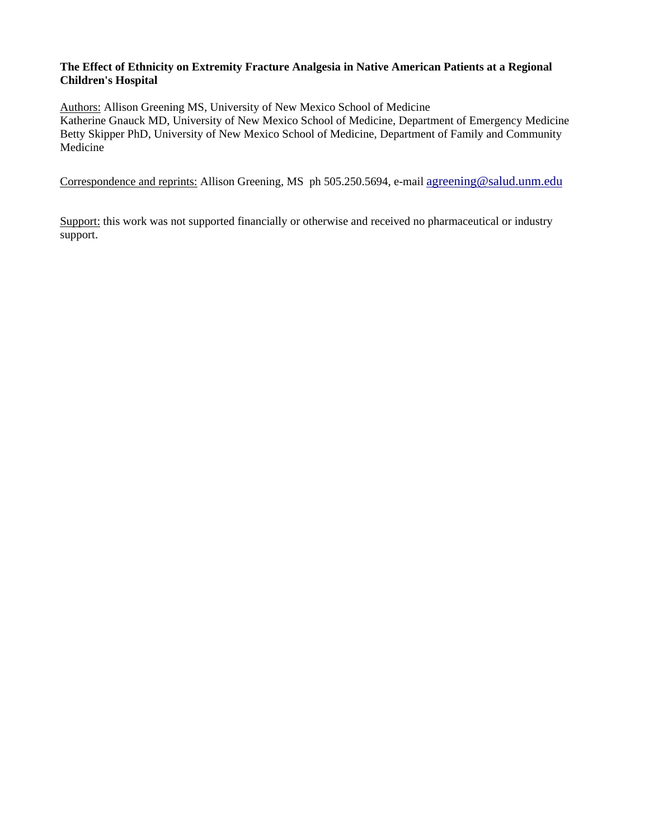#### **The Effect of Ethnicity on Extremity Fracture Analgesia in Native American Patients at a Regional Children's Hospital**

Authors: Allison Greening MS, University of New Mexico School of Medicine

Katherine Gnauck MD, University of New Mexico School of Medicine, Department of Emergency Medicine Betty Skipper PhD, University of New Mexico School of Medicine, Department of Family and Community **Medicine** 

Correspondence and reprints: Allison Greening, MS ph 505.250.5694, e-mail [agreening@salud.unm.edu](mailto:agreening@salud.unm.edu)

Support: this work was not supported financially or otherwise and received no pharmaceutical or industry support.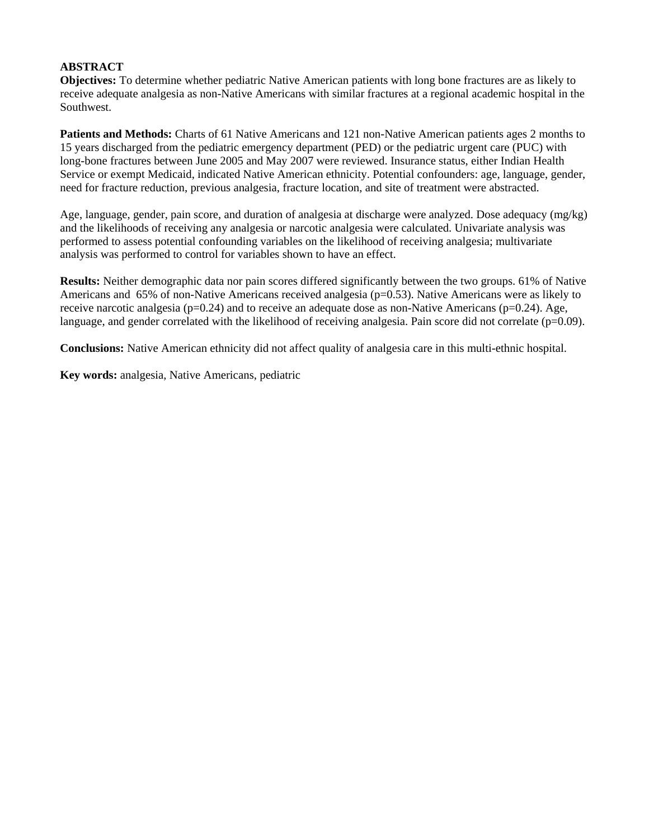#### **ABSTRACT**

**Objectives:** To determine whether pediatric Native American patients with long bone fractures are as likely to receive adequate analgesia as non-Native Americans with similar fractures at a regional academic hospital in the Southwest.

**Patients and Methods:** Charts of 61 Native Americans and 121 non-Native American patients ages 2 months to 15 years discharged from the pediatric emergency department (PED) or the pediatric urgent care (PUC) with long-bone fractures between June 2005 and May 2007 were reviewed. Insurance status, either Indian Health Service or exempt Medicaid, indicated Native American ethnicity. Potential confounders: age, language, gender, need for fracture reduction, previous analgesia, fracture location, and site of treatment were abstracted.

Age, language, gender, pain score, and duration of analgesia at discharge were analyzed. Dose adequacy (mg/kg) and the likelihoods of receiving any analgesia or narcotic analgesia were calculated. Univariate analysis was performed to assess potential confounding variables on the likelihood of receiving analgesia; multivariate analysis was performed to control for variables shown to have an effect.

**Results:** Neither demographic data nor pain scores differed significantly between the two groups. 61% of Native Americans and  $65\%$  of non-Native Americans received analgesia ( $p=0.53$ ). Native Americans were as likely to receive narcotic analgesia ( $p=0.24$ ) and to receive an adequate dose as non-Native Americans ( $p=0.24$ ). Age, language, and gender correlated with the likelihood of receiving analgesia. Pain score did not correlate ( $p=0.09$ ).

**Conclusions:** Native American ethnicity did not affect quality of analgesia care in this multi-ethnic hospital.

**Key words:** analgesia, Native Americans, pediatric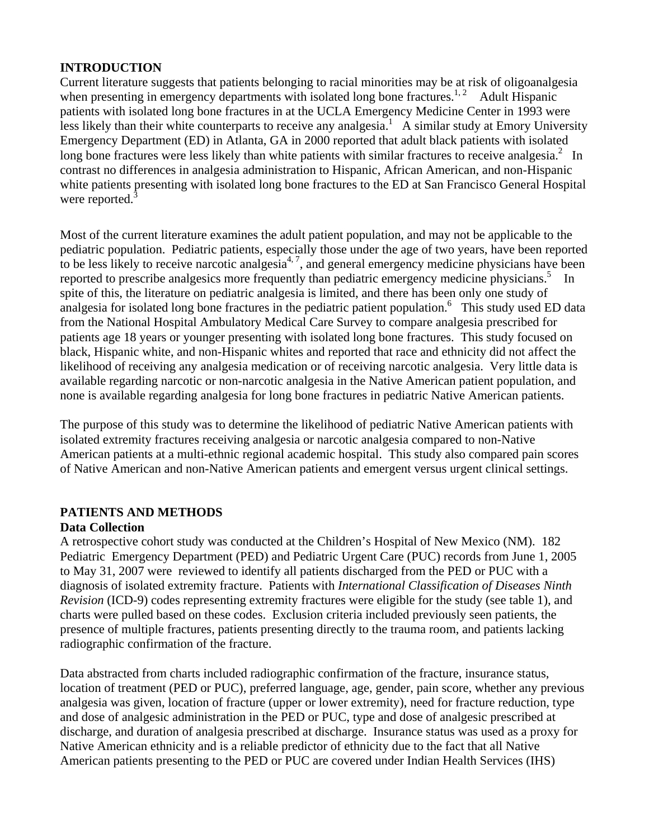## **INTRODUCTION**

Current literature suggests that patients belonging to racial minorities may be at risk of oligoanalgesia when presenting in emergency departments with isolated long bone fractures.<sup>1, 2</sup> Adult Hispanic patients with isolated long bone fractures in at the UCLA Emergency Medicine Center in 1993 were less likely than their white counterparts to receive any analgesia.<sup>1</sup> A similar study at Emory University Emergency Department (ED) in Atlanta, GA in 2000 reported that adult black patients with isolated long bone fractures were less likely than white patients with similar fractures to receive analgesia.<sup>2</sup> In contrast no differences in analgesia administration to Hispanic, African American, and non-Hispanic white patients presenting with isolated long bone fractures to the ED at San Francisco General Hospital were reported.<sup>3</sup>

Most of the current literature examines the adult patient population, and may not be applicable to the pediatric population. Pediatric patients, especially those under the age of two years, have been reported to be less likely to receive narcotic analgesia<sup>4, 7</sup>, and general emergency medicine physicians have been reported to prescribe analgesics more frequently than pediatric emergency medicine physicians.<sup>5</sup> In spite of this, the literature on pediatric analgesia is limited, and there has been only one study of analgesia for isolated long bone fractures in the pediatric patient population.<sup>6</sup> This study used ED data from the National Hospital Ambulatory Medical Care Survey to compare analgesia prescribed for patients age 18 years or younger presenting with isolated long bone fractures. This study focused on black, Hispanic white, and non-Hispanic whites and reported that race and ethnicity did not affect the likelihood of receiving any analgesia medication or of receiving narcotic analgesia. Very little data is available regarding narcotic or non-narcotic analgesia in the Native American patient population, and none is available regarding analgesia for long bone fractures in pediatric Native American patients.

The purpose of this study was to determine the likelihood of pediatric Native American patients with isolated extremity fractures receiving analgesia or narcotic analgesia compared to non-Native American patients at a multi-ethnic regional academic hospital. This study also compared pain scores of Native American and non-Native American patients and emergent versus urgent clinical settings.

## **PATIENTS AND METHODS**

#### **Data Collection**

A retrospective cohort study was conducted at the Children's Hospital of New Mexico (NM). 182 Pediatric Emergency Department (PED) and Pediatric Urgent Care (PUC) records from June 1, 2005 to May 31, 2007 were reviewed to identify all patients discharged from the PED or PUC with a diagnosis of isolated extremity fracture. Patients with *International Classification of Diseases Ninth Revision* (ICD-9) codes representing extremity fractures were eligible for the study (see table 1), and charts were pulled based on these codes. Exclusion criteria included previously seen patients, the presence of multiple fractures, patients presenting directly to the trauma room, and patients lacking radiographic confirmation of the fracture.

Data abstracted from charts included radiographic confirmation of the fracture, insurance status, location of treatment (PED or PUC), preferred language, age, gender, pain score, whether any previous analgesia was given, location of fracture (upper or lower extremity), need for fracture reduction, type and dose of analgesic administration in the PED or PUC, type and dose of analgesic prescribed at discharge, and duration of analgesia prescribed at discharge. Insurance status was used as a proxy for Native American ethnicity and is a reliable predictor of ethnicity due to the fact that all Native American patients presenting to the PED or PUC are covered under Indian Health Services (IHS)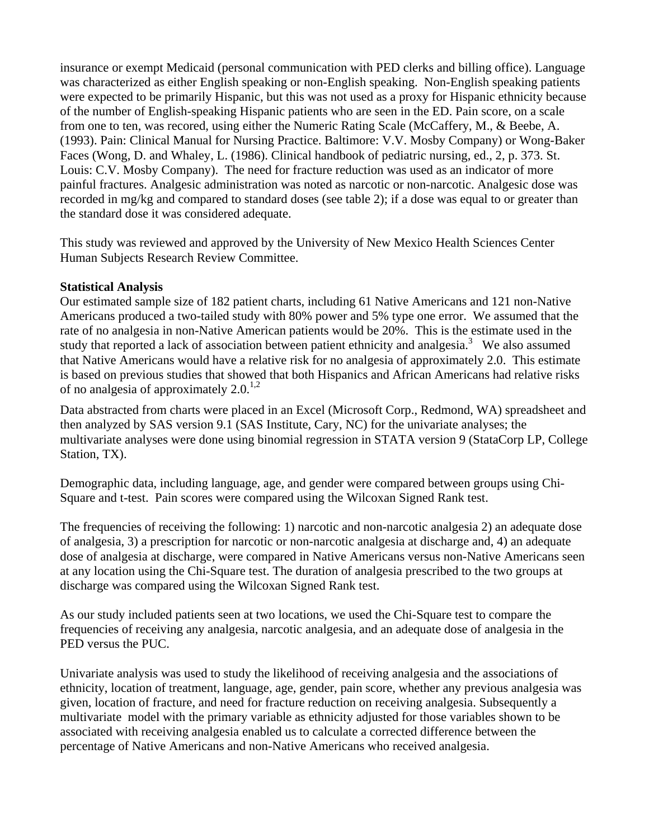insurance or exempt Medicaid (personal communication with PED clerks and billing office). Language was characterized as either English speaking or non-English speaking. Non-English speaking patients were expected to be primarily Hispanic, but this was not used as a proxy for Hispanic ethnicity because of the number of English-speaking Hispanic patients who are seen in the ED. Pain score, on a scale from one to ten, was recored, using either the Numeric Rating Scale (McCaffery, M., & Beebe, A. (1993). Pain: Clinical Manual for Nursing Practice. Baltimore: V.V. Mosby Company) or Wong-Baker Faces (Wong, D. and Whaley, L. (1986). Clinical handbook of pediatric nursing, ed., 2, p. 373. St. Louis: C.V. Mosby Company). The need for fracture reduction was used as an indicator of more painful fractures. Analgesic administration was noted as narcotic or non-narcotic. Analgesic dose was recorded in mg/kg and compared to standard doses (see table 2); if a dose was equal to or greater than the standard dose it was considered adequate.

This study was reviewed and approved by the University of New Mexico Health Sciences Center Human Subjects Research Review Committee.

#### **Statistical Analysis**

Our estimated sample size of 182 patient charts, including 61 Native Americans and 121 non-Native Americans produced a two-tailed study with 80% power and 5% type one error. We assumed that the rate of no analgesia in non-Native American patients would be 20%. This is the estimate used in the study that reported a lack of association between patient ethnicity and analgesia.<sup>3</sup> We also assumed that Native Americans would have a relative risk for no analgesia of approximately 2.0. This estimate is based on previous studies that showed that both Hispanics and African Americans had relative risks of no analgesia of approximately  $2.0^{1,2}$ 

Data abstracted from charts were placed in an Excel (Microsoft Corp., Redmond, WA) spreadsheet and then analyzed by SAS version 9.1 (SAS Institute, Cary, NC) for the univariate analyses; the multivariate analyses were done using binomial regression in STATA version 9 (StataCorp LP, College Station, TX).

Demographic data, including language, age, and gender were compared between groups using Chi-Square and t-test. Pain scores were compared using the Wilcoxan Signed Rank test.

The frequencies of receiving the following: 1) narcotic and non-narcotic analgesia 2) an adequate dose of analgesia, 3) a prescription for narcotic or non-narcotic analgesia at discharge and, 4) an adequate dose of analgesia at discharge, were compared in Native Americans versus non-Native Americans seen at any location using the Chi-Square test. The duration of analgesia prescribed to the two groups at discharge was compared using the Wilcoxan Signed Rank test.

As our study included patients seen at two locations, we used the Chi-Square test to compare the frequencies of receiving any analgesia, narcotic analgesia, and an adequate dose of analgesia in the PED versus the PUC.

Univariate analysis was used to study the likelihood of receiving analgesia and the associations of ethnicity, location of treatment, language, age, gender, pain score, whether any previous analgesia was given, location of fracture, and need for fracture reduction on receiving analgesia. Subsequently a multivariate model with the primary variable as ethnicity adjusted for those variables shown to be associated with receiving analgesia enabled us to calculate a corrected difference between the percentage of Native Americans and non-Native Americans who received analgesia.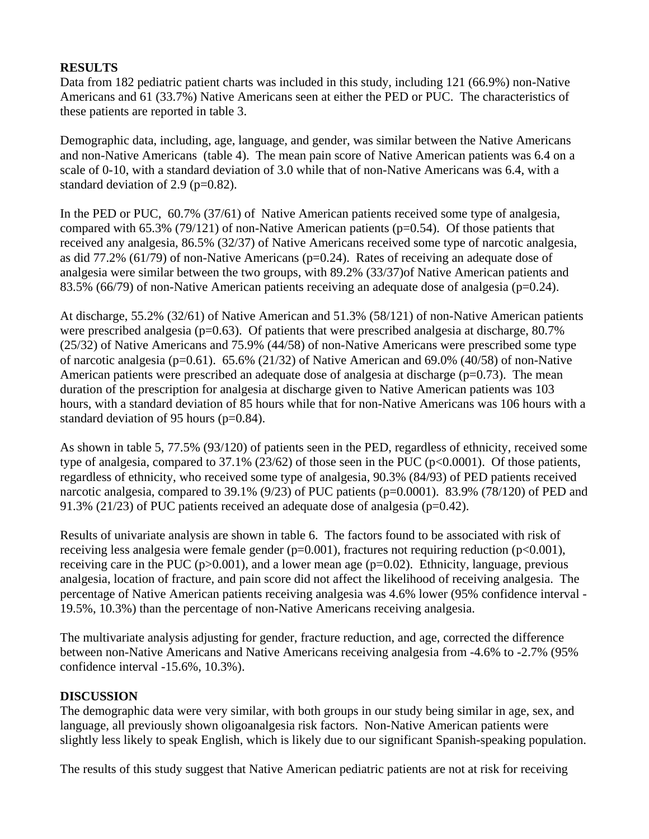## **RESULTS**

Data from 182 pediatric patient charts was included in this study, including 121 (66.9%) non-Native Americans and 61 (33.7%) Native Americans seen at either the PED or PUC. The characteristics of these patients are reported in table 3.

Demographic data, including, age, language, and gender, was similar between the Native Americans and non-Native Americans (table 4). The mean pain score of Native American patients was 6.4 on a scale of 0-10, with a standard deviation of 3.0 while that of non-Native Americans was 6.4, with a standard deviation of 2.9 (p=0.82).

In the PED or PUC, 60.7% (37/61) of Native American patients received some type of analgesia, compared with 65.3% (79/121) of non-Native American patients ( $p=0.54$ ). Of those patients that received any analgesia, 86.5% (32/37) of Native Americans received some type of narcotic analgesia, as did 77.2% (61/79) of non-Native Americans ( $p=0.24$ ). Rates of receiving an adequate dose of analgesia were similar between the two groups, with 89.2% (33/37)of Native American patients and 83.5% (66/79) of non-Native American patients receiving an adequate dose of analgesia (p=0.24).

At discharge, 55.2% (32/61) of Native American and 51.3% (58/121) of non-Native American patients were prescribed analgesia (p=0.63). Of patients that were prescribed analgesia at discharge, 80.7% (25/32) of Native Americans and 75.9% (44/58) of non-Native Americans were prescribed some type of narcotic analgesia ( $p=0.61$ ). 65.6% (21/32) of Native American and 69.0% (40/58) of non-Native American patients were prescribed an adequate dose of analgesia at discharge ( $p=0.73$ ). The mean duration of the prescription for analgesia at discharge given to Native American patients was 103 hours, with a standard deviation of 85 hours while that for non-Native Americans was 106 hours with a standard deviation of 95 hours (p=0.84).

As shown in table 5, 77.5% (93/120) of patients seen in the PED, regardless of ethnicity, received some type of analgesia, compared to 37.1% (23/62) of those seen in the PUC (p<0.0001). Of those patients, regardless of ethnicity, who received some type of analgesia, 90.3% (84/93) of PED patients received narcotic analgesia, compared to 39.1% (9/23) of PUC patients (p=0.0001). 83.9% (78/120) of PED and 91.3% (21/23) of PUC patients received an adequate dose of analgesia (p=0.42).

Results of univariate analysis are shown in table 6. The factors found to be associated with risk of receiving less analgesia were female gender ( $p=0.001$ ), fractures not requiring reduction ( $p<0.001$ ), receiving care in the PUC ( $p > 0.001$ ), and a lower mean age ( $p = 0.02$ ). Ethnicity, language, previous analgesia, location of fracture, and pain score did not affect the likelihood of receiving analgesia. The percentage of Native American patients receiving analgesia was 4.6% lower (95% confidence interval - 19.5%, 10.3%) than the percentage of non-Native Americans receiving analgesia.

The multivariate analysis adjusting for gender, fracture reduction, and age, corrected the difference between non-Native Americans and Native Americans receiving analgesia from -4.6% to -2.7% (95% confidence interval -15.6%, 10.3%).

#### **DISCUSSION**

The demographic data were very similar, with both groups in our study being similar in age, sex, and language, all previously shown oligoanalgesia risk factors. Non-Native American patients were slightly less likely to speak English, which is likely due to our significant Spanish-speaking population.

The results of this study suggest that Native American pediatric patients are not at risk for receiving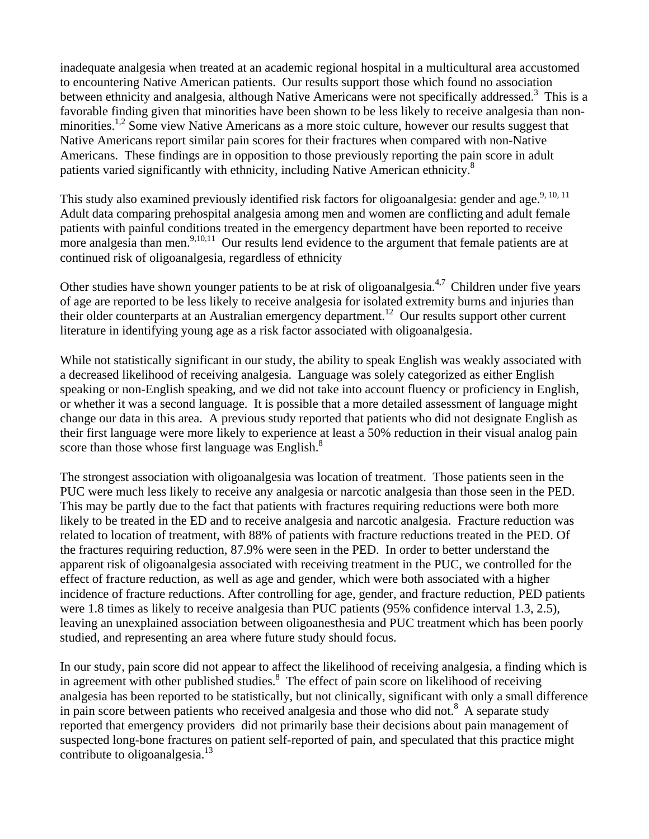inadequate analgesia when treated at an academic regional hospital in a multicultural area accustomed to encountering Native American patients. Our results support those which found no association between ethnicity and analgesia, although Native Americans were not specifically addressed.<sup>3</sup> This is a favorable finding given that minorities have been shown to be less likely to receive analgesia than nonminorities.<sup>1,2</sup> Some view Native Americans as a more stoic culture, however our results suggest that Native Americans report similar pain scores for their fractures when compared with non-Native Americans. These findings are in opposition to those previously reporting the pain score in adult patients varied significantly with ethnicity, including Native American ethnicity.<sup>8</sup>

This study also examined previously identified risk factors for oligoanalgesia: gender and age.<sup>9, 10, 11</sup> Adult data comparing prehospital analgesia among men and women are conflicting and adult female patients with painful conditions treated in the emergency department have been reported to receive more analgesia than men.<sup>9,10,11</sup> Our results lend evidence to the argument that female patients are at continued risk of oligoanalgesia, regardless of ethnicity

Other studies have shown younger patients to be at risk of oligoanalgesia.<sup>4,7</sup> Children under five years of age are reported to be less likely to receive analgesia for isolated extremity burns and injuries than their older counterparts at an Australian emergency department.<sup>12</sup> Our results support other current literature in identifying young age as a risk factor associated with oligoanalgesia.

While not statistically significant in our study, the ability to speak English was weakly associated with a decreased likelihood of receiving analgesia. Language was solely categorized as either English speaking or non-English speaking, and we did not take into account fluency or proficiency in English, or whether it was a second language. It is possible that a more detailed assessment of language might change our data in this area. A previous study reported that patients who did not designate English as their first language were more likely to experience at least a 50% reduction in their visual analog pain score than those whose first language was English.<sup>8</sup>

The strongest association with oligoanalgesia was location of treatment. Those patients seen in the PUC were much less likely to receive any analgesia or narcotic analgesia than those seen in the PED. This may be partly due to the fact that patients with fractures requiring reductions were both more likely to be treated in the ED and to receive analgesia and narcotic analgesia. Fracture reduction was related to location of treatment, with 88% of patients with fracture reductions treated in the PED. Of the fractures requiring reduction, 87.9% were seen in the PED. In order to better understand the apparent risk of oligoanalgesia associated with receiving treatment in the PUC, we controlled for the effect of fracture reduction, as well as age and gender, which were both associated with a higher incidence of fracture reductions. After controlling for age, gender, and fracture reduction, PED patients were 1.8 times as likely to receive analgesia than PUC patients (95% confidence interval 1.3, 2.5), leaving an unexplained association between oligoanesthesia and PUC treatment which has been poorly studied, and representing an area where future study should focus.

In our study, pain score did not appear to affect the likelihood of receiving analgesia, a finding which is in agreement with other published studies.<sup>8</sup> The effect of pain score on likelihood of receiving analgesia has been reported to be statistically, but not clinically, significant with only a small difference in pain score between patients who received analgesia and those who did not.<sup>8</sup> A separate study reported that emergency providers did not primarily base their decisions about pain management of suspected long-bone fractures on patient self-reported of pain, and speculated that this practice might contribute to oligoanalgesia. $^{13}$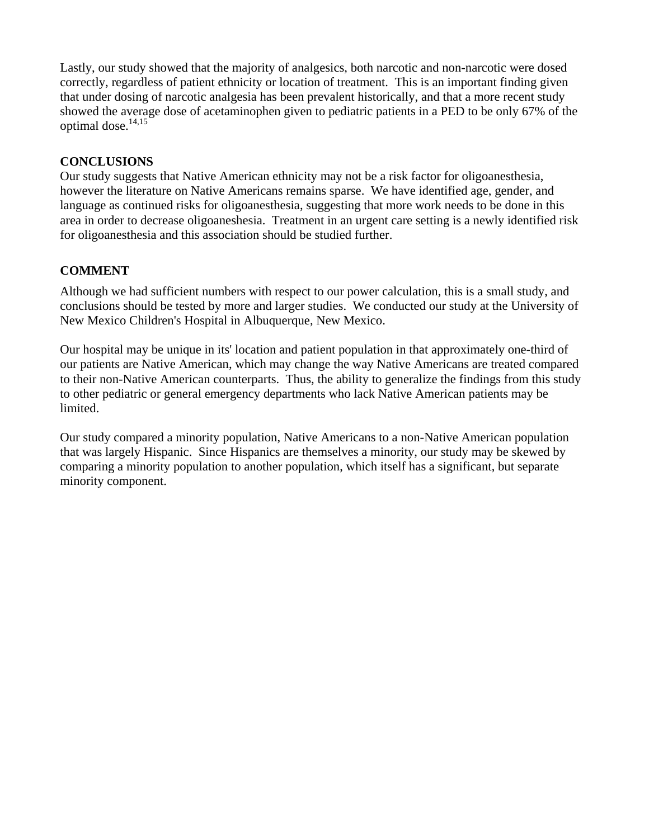Lastly, our study showed that the majority of analgesics, both narcotic and non-narcotic were dosed correctly, regardless of patient ethnicity or location of treatment. This is an important finding given that under dosing of narcotic analgesia has been prevalent historically, and that a more recent study showed the average dose of acetaminophen given to pediatric patients in a PED to be only 67% of the optimal dose.<sup>14,15</sup>

#### **CONCLUSIONS**

Our study suggests that Native American ethnicity may not be a risk factor for oligoanesthesia, however the literature on Native Americans remains sparse. We have identified age, gender, and language as continued risks for oligoanesthesia, suggesting that more work needs to be done in this area in order to decrease oligoaneshesia. Treatment in an urgent care setting is a newly identified risk for oligoanesthesia and this association should be studied further.

## **COMMENT**

Although we had sufficient numbers with respect to our power calculation, this is a small study, and conclusions should be tested by more and larger studies. We conducted our study at the University of New Mexico Children's Hospital in Albuquerque, New Mexico.

Our hospital may be unique in its' location and patient population in that approximately one-third of our patients are Native American, which may change the way Native Americans are treated compared to their non-Native American counterparts. Thus, the ability to generalize the findings from this study to other pediatric or general emergency departments who lack Native American patients may be limited.

Our study compared a minority population, Native Americans to a non-Native American population that was largely Hispanic. Since Hispanics are themselves a minority, our study may be skewed by comparing a minority population to another population, which itself has a significant, but separate minority component.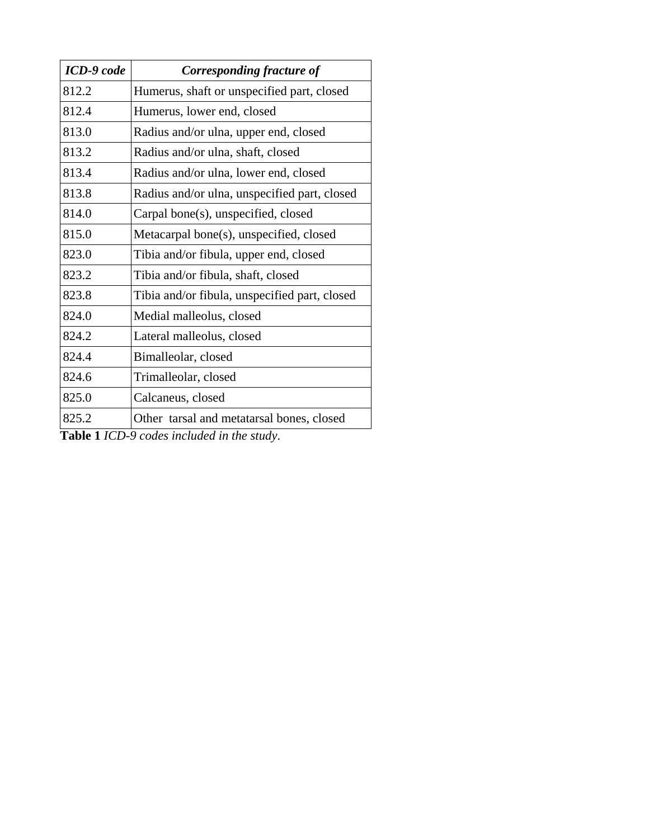| ICD-9 code | Corresponding fracture of                     |
|------------|-----------------------------------------------|
| 812.2      | Humerus, shaft or unspecified part, closed    |
| 812.4      | Humerus, lower end, closed                    |
| 813.0      | Radius and/or ulna, upper end, closed         |
| 813.2      | Radius and/or ulna, shaft, closed             |
| 813.4      | Radius and/or ulna, lower end, closed         |
| 813.8      | Radius and/or ulna, unspecified part, closed  |
| 814.0      | Carpal bone(s), unspecified, closed           |
| 815.0      | Metacarpal bone(s), unspecified, closed       |
| 823.0      | Tibia and/or fibula, upper end, closed        |
| 823.2      | Tibia and/or fibula, shaft, closed            |
| 823.8      | Tibia and/or fibula, unspecified part, closed |
| 824.0      | Medial malleolus, closed                      |
| 824.2      | Lateral malleolus, closed                     |
| 824.4      | Bimalleolar, closed                           |
| 824.6      | Trimalleolar, closed                          |
| 825.0      | Calcaneus, closed                             |
| 825.2      | Other tarsal and metatarsal bones, closed     |

**Table 1** *ICD-9 codes included in the study*.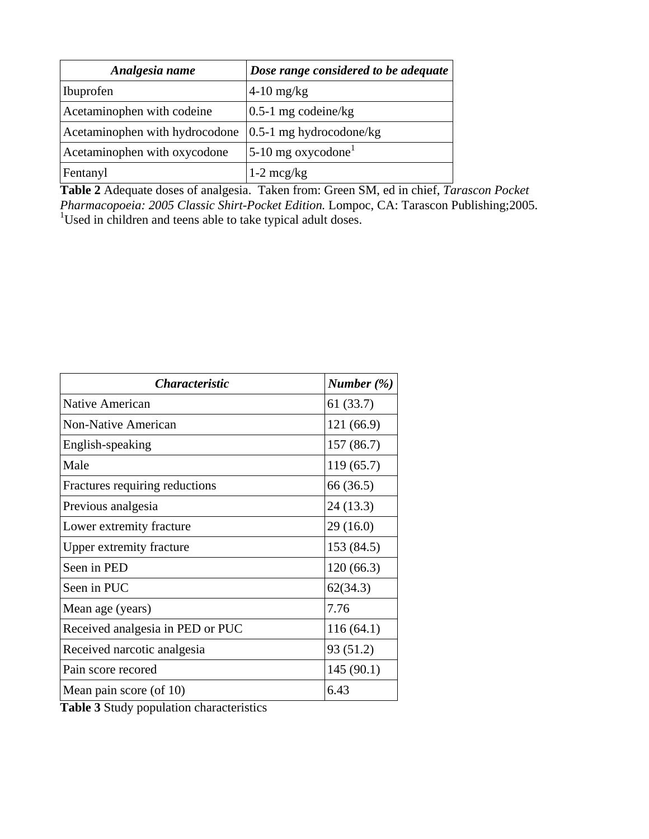| Analgesia name                 | Dose range considered to be adequate |
|--------------------------------|--------------------------------------|
| Ibuprofen                      | $4-10$ mg/kg                         |
| Acetaminophen with codeine     | $0.5-1$ mg codeine/kg                |
| Acetaminophen with hydrocodone | $0.5-1$ mg hydrocodone/kg            |
| Acetaminophen with oxycodone   | 5-10 mg oxycodone <sup>1</sup>       |
| Fentanyl                       | $1-2 \text{~mcg/kg}$                 |

**Table 2** Adequate doses of analgesia. Taken from: Green SM, ed in chief, *Tarascon Pocket Pharmacopoeia: 2005 Classic Shirt-Pocket Edition.* Lompoc, CA: Tarascon Publishing;2005.<br><sup>1</sup>Used in children and teens able to take typical adult doses.

| <i><b>Characteristic</b></i>     | Number $(\%)$ |
|----------------------------------|---------------|
| <b>Native American</b>           | 61(33.7)      |
| <b>Non-Native American</b>       | 121(66.9)     |
| English-speaking                 | 157(86.7)     |
| Male                             | 119(65.7)     |
| Fractures requiring reductions   | 66 (36.5)     |
| Previous analgesia               | 24(13.3)      |
| Lower extremity fracture         | 29(16.0)      |
| <b>Upper extremity fracture</b>  | 153 (84.5)    |
| Seen in PED                      | 120(66.3)     |
| Seen in PUC                      | 62(34.3)      |
| Mean age (years)                 | 7.76          |
| Received analgesia in PED or PUC | 116(64.1)     |
| Received narcotic analgesia      | 93 (51.2)     |
| Pain score recored               | 145(90.1)     |
| Mean pain score (of 10)          | 6.43          |

**Table 3** Study population characteristics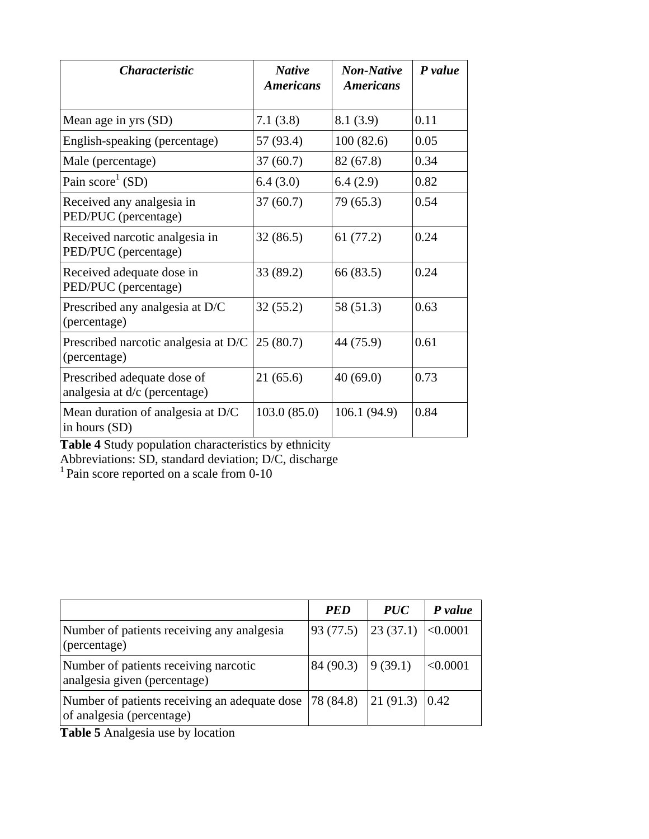| <i><b>Characteristic</b></i>                                 | <b>Native</b><br><i><b>Americans</b></i> | <b>Non-Native</b><br><i><b>Americans</b></i> | P value |
|--------------------------------------------------------------|------------------------------------------|----------------------------------------------|---------|
| Mean age in yrs (SD)                                         | 7.1(3.8)                                 | 8.1(3.9)                                     | 0.11    |
| English-speaking (percentage)                                | 57 (93.4)                                | 100(82.6)                                    | 0.05    |
| Male (percentage)                                            | 37(60.7)                                 | 82 (67.8)                                    | 0.34    |
| Pain $score1$ (SD)                                           | 6.4(3.0)                                 | 6.4(2.9)                                     | 0.82    |
| Received any analgesia in<br>PED/PUC (percentage)            | 37(60.7)                                 | 79 (65.3)                                    | 0.54    |
| Received narcotic analgesia in<br>PED/PUC (percentage)       | 32(86.5)                                 | 61(77.2)                                     | 0.24    |
| Received adequate dose in<br>PED/PUC (percentage)            | 33 (89.2)                                | 66 (83.5)                                    | 0.24    |
| Prescribed any analgesia at D/C<br>(percentage)              | 32(55.2)                                 | 58 (51.3)                                    | 0.63    |
| Prescribed narcotic analgesia at D/C<br>(percentage)         | 25(80.7)                                 | 44 (75.9)                                    | 0.61    |
| Prescribed adequate dose of<br>analgesia at d/c (percentage) | 21(65.6)                                 | 40(69.0)                                     | 0.73    |
| Mean duration of analgesia at D/C<br>in hours (SD)           | 103.0(85.0)                              | 106.1(94.9)                                  | 0.84    |

**Table 4** Study population characteristics by ethnicity

Abbreviations: SD, standard deviation; D/C, discharge

 $1$  Pain score reported on a scale from 0-10

|                                                                            | <b>PED</b>                                                                                                                      | <i>PUC</i> | P value |
|----------------------------------------------------------------------------|---------------------------------------------------------------------------------------------------------------------------------|------------|---------|
| Number of patients receiving any analgesia<br>(percentage)                 | 93 (77.5) 23 (37.1) $ <0.0001$                                                                                                  |            |         |
| Number of patients receiving narcotic<br>analgesia given (percentage)      | $84(90.3)$ 9(39.1)                                                                                                              |            | <0.0001 |
| Number of patients receiving an adequate dose<br>of analgesia (percentage) | $\begin{bmatrix} 78 & 84.8 \end{bmatrix}$ $\begin{bmatrix} 21 & 91.3 \end{bmatrix}$ $\begin{bmatrix} 0.42 & 0.42 \end{bmatrix}$ |            |         |

**Table 5** Analgesia use by location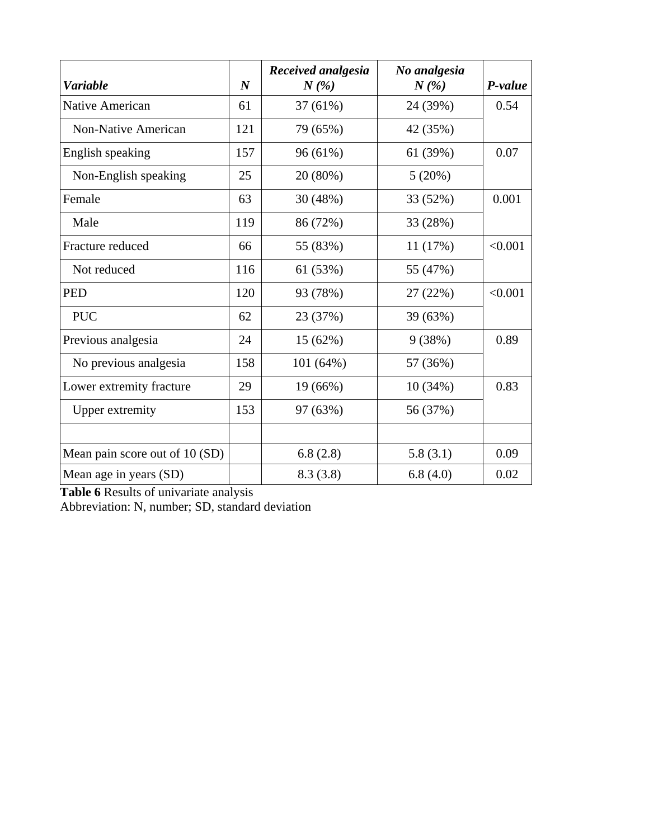| <b>Variable</b>                | $\boldsymbol{N}$ | Received analgesia<br>$N(\%)$ | No analgesia<br>$N(\%)$ | P-value |
|--------------------------------|------------------|-------------------------------|-------------------------|---------|
| Native American                | 61               | 37 (61%)                      | 24 (39%)                | 0.54    |
| <b>Non-Native American</b>     | 121              | 79 (65%)                      | 42 (35%)                |         |
| English speaking               | 157              | 96 (61%)                      | 61 (39%)                | 0.07    |
| Non-English speaking           | 25               | 20 (80%)                      | 5(20%)                  |         |
| Female                         | 63               | 30 (48%)                      | 33 (52%)                | 0.001   |
| Male                           | 119              | 86 (72%)                      | 33 (28%)                |         |
| Fracture reduced               | 66               | 55 (83%)                      | 11(17%)                 | < 0.001 |
| Not reduced                    | 116              | 61 (53%)                      | 55 (47%)                |         |
| <b>PED</b>                     | 120              | 93 (78%)                      | 27 (22%)                | < 0.001 |
| <b>PUC</b>                     | 62               | 23 (37%)                      | 39 (63%)                |         |
| Previous analgesia             | 24               | 15 (62%)                      | 9(38%)                  | 0.89    |
| No previous analgesia          | 158              | 101 (64%)                     | 57 (36%)                |         |
| Lower extremity fracture       | 29               | 19 (66%)                      | 10(34%)                 | 0.83    |
| <b>Upper extremity</b>         | 153              | 97 (63%)                      | 56 (37%)                |         |
|                                |                  |                               |                         |         |
| Mean pain score out of 10 (SD) |                  | 6.8(2.8)                      | 5.8(3.1)                | 0.09    |
| Mean age in years (SD)         |                  | 8.3(3.8)                      | 6.8(4.0)                | 0.02    |

**Table 6** Results of univariate analysis

Abbreviation: N, number; SD, standard deviation